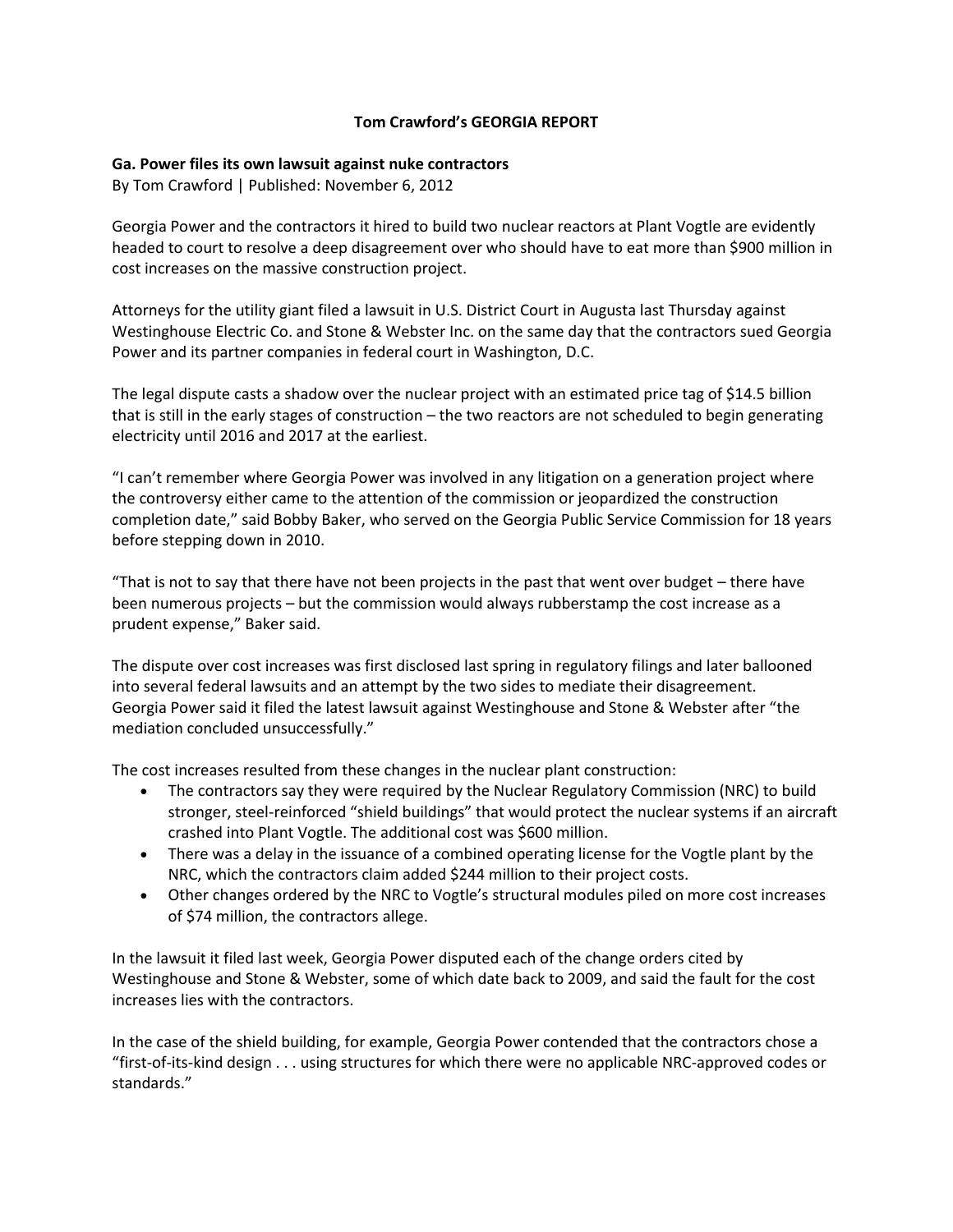## **Tom Crawford's GEORGIA REPORT**

## **Ga. Power files its own lawsuit against nuke contractors**

By Tom Crawford | Published: November 6, 2012

Georgia Power and the contractors it hired to build two nuclear reactors at Plant Vogtle are evidently headed to court to resolve a deep disagreement over who should have to eat more than \$900 million in cost increases on the massive construction project.

Attorneys for the utility giant filed a lawsuit in U.S. District Court in Augusta last Thursday against Westinghouse Electric Co. and Stone & Webster Inc. on the same day that the contractors sued Georgia Power and its partner companies in federal court in Washington, D.C.

The legal dispute casts a shadow over the nuclear project with an estimated price tag of \$14.5 billion that is still in the early stages of construction – the two reactors are not scheduled to begin generating electricity until 2016 and 2017 at the earliest.

"I can't remember where Georgia Power was involved in any litigation on a generation project where the controversy either came to the attention of the commission or jeopardized the construction completion date," said Bobby Baker, who served on the Georgia Public Service Commission for 18 years before stepping down in 2010.

"That is not to say that there have not been projects in the past that went over budget – there have been numerous projects – but the commission would always rubberstamp the cost increase as a prudent expense," Baker said.

The dispute over cost increases was first disclosed last spring in regulatory filings and later ballooned into several federal lawsuits and an attempt by the two sides to mediate their disagreement. Georgia Power said it filed the latest lawsuit against Westinghouse and Stone & Webster after "the mediation concluded unsuccessfully."

The cost increases resulted from these changes in the nuclear plant construction:

- The contractors say they were required by the Nuclear Regulatory Commission (NRC) to build stronger, steel-reinforced "shield buildings" that would protect the nuclear systems if an aircraft crashed into Plant Vogtle. The additional cost was \$600 million.
- There was a delay in the issuance of a combined operating license for the Vogtle plant by the NRC, which the contractors claim added \$244 million to their project costs.
- Other changes ordered by the NRC to Vogtle's structural modules piled on more cost increases of \$74 million, the contractors allege.

In the lawsuit it filed last week, Georgia Power disputed each of the change orders cited by Westinghouse and Stone & Webster, some of which date back to 2009, and said the fault for the cost increases lies with the contractors.

In the case of the shield building, for example, Georgia Power contended that the contractors chose a "first-of-its-kind design . . . using structures for which there were no applicable NRC-approved codes or standards."